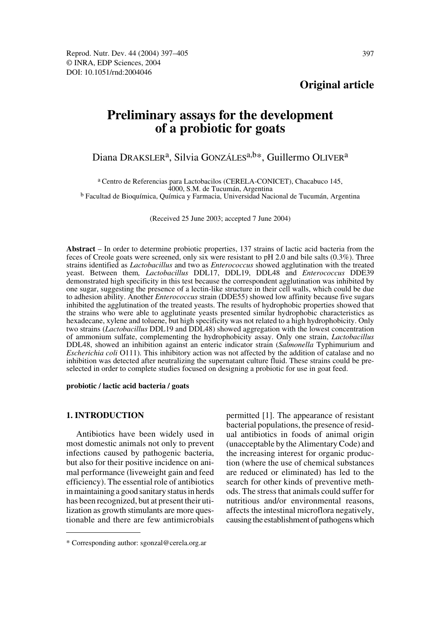# **Original article**

# **Preliminary assays for the development of a probiotic for goats**

# Diana DRAKSLER<sup>a</sup>, Silvia GONZÁLES<sup>a,b\*</sup>, Guillermo OLIVER<sup>a</sup>

a Centro de Referencias para Lactobacilos (CERELA-CONICET), Chacabuco 145, <sup>b</sup> Facultad de Bioquímica, Química y Farmacia, Universidad Nacional de Tucumán, Argentina

(Received 25 June 2003; accepted 7 June 2004)

**Abstract** – In order to determine probiotic properties, 137 strains of lactic acid bacteria from the feces of Creole goats were screened, only six were resistant to pH 2.0 and bile salts (0.3%). Three strains identified as *Lactobacillus* and two as *Enterococcus* showed agglutination with the treated yeast. Between them*, Lactobacillus* DDL17, DDL19, DDL48 and *Enterococcus* DDE39 demonstrated high specificity in this test because the correspondent agglutination was inhibited by one sugar, suggesting the presence of a lectin-like structure in their cell walls, which could be due to adhesion ability. Another *Enterococcus* strain (DDE55) showed low affinity because five sugars inhibited the agglutination of the treated yeasts. The results of hydrophobic properties showed that the strains who were able to agglutinate yeasts presented similar hydrophobic characteristics as hexadecane, xylene and toluene, but high specificity was not related to a high hydrophobicity. Only two strains (*Lactobacillus* DDL19 and DDL48) showed aggregation with the lowest concentration of ammonium sulfate, complementing the hydrophobicity assay. Only one strain, *Lactobacillus* DDL48, showed an inhibition against an enteric indicator strain (*Salmonella* Typhimurium and *Escherichia coli* O111). This inhibitory action was not affected by the addition of catalase and no inhibition was detected after neutralizing the supernatant culture fluid. These strains could be preselected in order to complete studies focused on designing a probiotic for use in goat feed.

#### **probiotic / lactic acid bacteria / goats**

#### **1. INTRODUCTION**

Antibiotics have been widely used in most domestic animals not only to prevent infections caused by pathogenic bacteria, but also for their positive incidence on animal performance (liveweight gain and feed efficiency). The essential role of antibiotics in maintaining a good sanitary status in herds has been recognized, but at present their utilization as growth stimulants are more questionable and there are few antimicrobials permitted [1]. The appearance of resistant bacterial populations, the presence of residual antibiotics in foods of animal origin (unacceptable by the Alimentary Code) and the increasing interest for organic production (where the use of chemical substances are reduced or eliminated) has led to the search for other kinds of preventive methods. The stress that animals could suffer for nutritious and/or environmental reasons, affects the intestinal microflora negatively, causing the establishment of pathogens which

<sup>\*</sup> Corresponding author: sgonzal@cerela.org.ar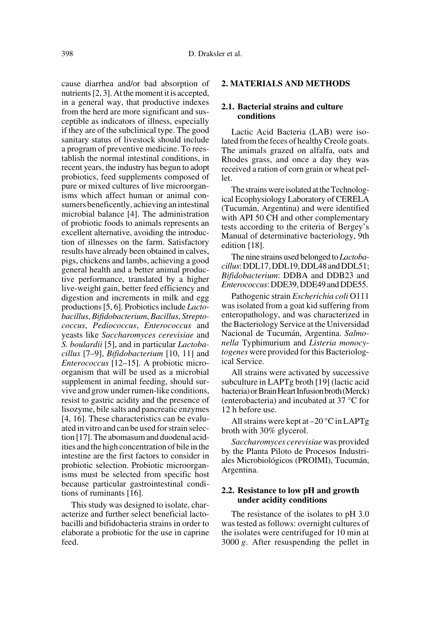cause diarrhea and/or bad absorption of nutrients [2, 3]. At the moment it is accepted, in a general way, that productive indexes from the herd are more significant and susceptible as indicators of illness, especially if they are of the subclinical type. The good sanitary status of livestock should include a program of preventive medicine. To reestablish the normal intestinal conditions, in recent years, the industry has begun to adopt probiotics, feed supplements composed of pure or mixed cultures of live microorganisms which affect human or animal consumers beneficently, achieving an intestinal microbial balance [4]. The administration of probiotic foods to animals represents an excellent alternative, avoiding the introduction of illnesses on the farm. Satisfactory results have already been obtained in calves, pigs, chickens and lambs, achieving a good general health and a better animal productive performance, translated by a higher live-weight gain, better feed efficiency and digestion and increments in milk and egg productions [5, 6]. Probiotics include *Lactobacillus*, *Bifidobacterium*, *Bacillus*, *Streptococcus*, *Pediococcus*, *Enterococcus* and yeasts like *Saccharomyces cerevisiae* and *S. boulardii* [5], and in particular *Lactobacillus* [7–9], *Bifidobacterium* [10, 11] and *Enterococcus* [12–15]. A probiotic microorganism that will be used as a microbial supplement in animal feeding, should survive and grow under rumen-like conditions, resist to gastric acidity and the presence of lisozyme, bile salts and pancreatic enzymes [4, 16]. These characteristics can be evaluated in vitro and can be used for strain selection [17]. The abomasum and duodenal acidities and the high concentration of bile in the intestine are the first factors to consider in probiotic selection. Probiotic microorganisms must be selected from specific host because particular gastrointestinal conditions of ruminants [16].

This study was designed to isolate, characterize and further select beneficial lactobacilli and bifidobacteria strains in order to elaborate a probiotic for the use in caprine feed.

# **2. MATERIALS AND METHODS**

## **2.1. Bacterial strains and culture conditions**

Lactic Acid Bacteria (LAB) were isolated from the feces of healthy Creole goats. The animals grazed on alfalfa, oats and Rhodes grass, and once a day they was received a ration of corn grain or wheat pellet.

The strains were isolated at the Technological Ecophysiology Laboratory of CERELA (Tucumán, Argentina) and were identified with API 50 CH and other complementary tests according to the criteria of Bergey's Manual of determinative bacteriology, 9th edition [18].

The nine strains used belonged to *Lactobacillus*: DDL17, DDL19, DDL48 and DDL51; *Bifidobacterium*: DDBA and DDB23 and *Enterococcus*: DDE39, DDE49 and DDE55.

Pathogenic strain *Escherichia coli* O111 was isolated from a goat kid suffering from enteropathology, and was characterized in the Bacteriology Service at the Universidad Nacional de Tucumán, Argentina. *Salmonella* Typhimurium and *Listeria monocytogenes* were provided for this Bacteriological Service.

All strains were activated by successive subculture in LAPTg broth [19] (lactic acid bacteria) or Brain Heart Infusion broth (Merck) (enterobacteria) and incubated at 37 °C for 12 h before use.

All strains were kept at –20 °C in LAPTg broth with 30% glycerol.

*Saccharomyces cerevisiae* was provided by the Planta Piloto de Procesos Industriales Microbiológicos (PROIMI), Tucumán, Argentina.

#### **2.2. Resistance to low pH and growth under acidity conditions**

The resistance of the isolates to pH 3.0 was tested as follows: overnight cultures of the isolates were centrifuged for 10 min at 3000 *g*. After resuspending the pellet in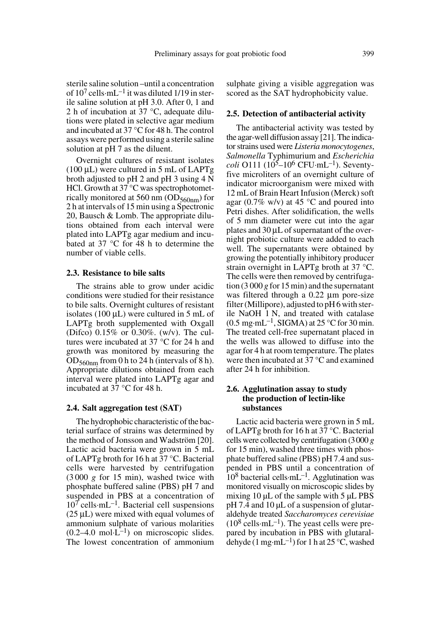**2.5. Detection of antibacterial activity**

The antibacterial activity was tested by the agar-well diffusion assay [21]. The indicator strains used were *Listeria monocytogenes*, *Salmonella* Typhimurium and *Escherichia coli* O111 (10<sup>5</sup>–10<sup>6</sup> CFU·mL<sup>-1</sup>). Seventyfive microliters of an overnight culture of indicator microorganism were mixed with 12 mL of Brain Heart Infusion (Merck) soft agar (0.7% w/v) at 45  $\degree$ C and poured into Petri dishes. After solidification, the wells of 5 mm diameter were cut into the agar plates and 30 µL of supernatant of the overnight probiotic culture were added to each well. The supernatants were obtained by growing the potentially inhibitory producer strain overnight in LAPTg broth at 37 °C. The cells were then removed by centrifugation (3 000 *g* for 15 min) and the supernatant was filtered through a 0.22  $\mu$ m pore-size filter (Millipore), adjusted to pH 6 with sterile NaOH 1 N, and treated with catalase  $(0.5 \text{ mg} \cdot \text{mL}^{-1}, \text{SIGMA})$  at 25 °C for 30 min. The treated cell-free supernatant placed in the wells was allowed to diffuse into the agar for 4 h at room temperature. The plates were then incubated at 37 °C and examined after 24 h for inhibition.

#### **2.6. Agglutination assay to study the production of lectin-like substances**

Lactic acid bacteria were grown in 5 mL of LAPTg broth for 16 h at 37 °C. Bacterial cells were collected by centrifugation (3000 *g* for 15 min), washed three times with phosphate buffered saline (PBS) pH 7.4 and suspended in PBS until a concentration of  $10^8$  bacterial cells·mL<sup>-1</sup>. Agglutination was monitored visually on microscopic slides by mixing 10  $\mu$ L of the sample with 5  $\mu$ L PBS pH 7.4 and 10 µL of a suspension of glutaraldehyde treated *Saccharomyces cerevisiae*  $(10^8 \text{ cells} \cdot \text{mL}^{-1})$ . The yeast cells were prepared by incubation in PBS with glutaraldehyde (1 mg·mL<sup>-1</sup>) for 1 h at 25 °C, washed

of  $10^7$  cells·mL<sup>-1</sup> it was diluted 1/19 in sterile saline solution at pH 3.0. After 0, 1 and 2 h of incubation at 37 °C, adequate dilutions were plated in selective agar medium and incubated at 37 °C for 48 h. The control assays were performed using a sterile saline solution at pH 7 as the diluent.

Overnight cultures of resistant isolates  $(100 \mu L)$  were cultured in 5 mL of LAPTg broth adjusted to pH 2 and pH 3 using 4 N HCl. Growth at 37 °C was spectrophotometrically monitored at 560 nm  $OD_{560nm}$  for 2 h at intervals of 15 min using a Spectronic 20, Bausch & Lomb. The appropriate dilutions obtained from each interval were plated into LAPTg agar medium and incubated at 37 °C for 48 h to determine the number of viable cells.

#### **2.3. Resistance to bile salts**

The strains able to grow under acidic conditions were studied for their resistance to bile salts. Overnight cultures of resistant isolates (100  $\mu$ L) were cultured in 5 mL of LAPTg broth supplemented with Oxgall (Difco) 0.15% or 0.30%. (w/v). The cultures were incubated at 37 °C for 24 h and growth was monitored by measuring the  $OD_{560nm}$  from 0 h to 24 h (intervals of 8 h). Appropriate dilutions obtained from each interval were plated into LAPTg agar and incubated at 37 °C for 48 h.

#### **2.4. Salt aggregation test (SAT)**

The hydrophobic characteristic of the bacterial surface of strains was determined by the method of Jonsson and Wadström [20]. Lactic acid bacteria were grown in 5 mL of LAPTg broth for 16 h at 37 °C. Bacterial cells were harvested by centrifugation (3 000 *g* for 15 min), washed twice with phosphate buffered saline (PBS) pH 7 and suspended in PBS at a concentration of  $10<sup>7</sup>$  cells·mL<sup>-1</sup>. Bacterial cell suspensions  $(25 \mu L)$  were mixed with equal volumes of ammonium sulphate of various molarities  $(0.2-4.0 \text{ mol} \cdot \text{L}^{-1})$  on microscopic slides. The lowest concentration of ammonium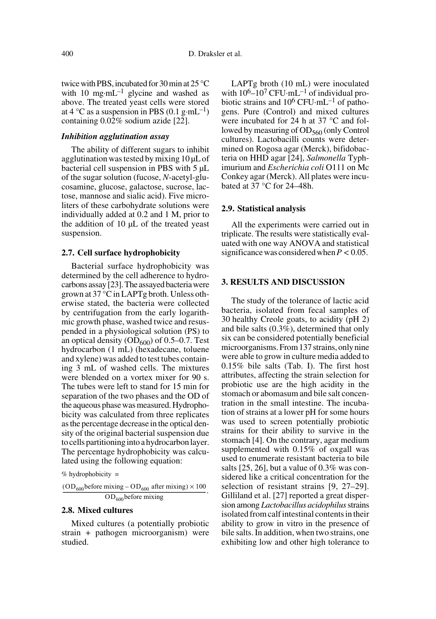twice with PBS, incubated for 30 min at 25 °C with 10 mg·mL<sup>-1</sup> glycine and washed as above. The treated yeast cells were stored at 4 °C as a suspension in PBS (0.1 g·mL<sup>-1</sup>) containing 0.02% sodium azide [22].

## *Inhibition agglutination assay*

The ability of different sugars to inhibit agglutination was tested by mixing 10 µL of bacterial cell suspension in PBS with 5 µL of the sugar solution (fucose, *N*-acetyl-glucosamine, glucose, galactose, sucrose, lactose, mannose and sialic acid). Five microliters of these carbohydrate solutions were individually added at 0.2 and 1 M, prior to the addition of 10 µL of the treated yeast suspension.

#### **2.7. Cell surface hydrophobicity**

Bacterial surface hydrophobicity was determined by the cell adherence to hydrocarbons assay [23]. The assayed bacteria were grown at 37 °C in LAPTg broth. Unless otherwise stated, the bacteria were collected by centrifugation from the early logarithmic growth phase, washed twice and resuspended in a physiological solution (PS) to an optical density  $OD_{600}$  of 0.5–0.7. Test hydrocarbon (1 mL) (hexadecane, toluene and xylene) was added to test tubes containing 3 mL of washed cells. The mixtures were blended on a vortex mixer for 90 s. The tubes were left to stand for 15 min for separation of the two phases and the OD of the aqueous phase was measured. Hydrophobicity was calculated from three replicates as the percentage decrease in the optical density of the original bacterial suspension due to cells partitioning into a hydrocarbon layer. The percentage hydrophobicity was calculated using the following equation:

```
%
hydrophobicity =
```
 $\frac{(OD_{600} \text{before mixing} - OD_{600} \text{ after mixing}) \times 100}{OD_{600} \text{ after mixing}}$ .  $-$ OD<sub>600</sub>before mixing

## **2.8. Mixed cultures**

Mixed cultures (a potentially probiotic strain + pathogen microorganism) were studied.

LAPTg broth (10 mL) were inoculated with  $10^6$ – $10^7$  CFU·mL<sup>–1</sup> of individual probiotic strains and  $10^6$  CFU·mL<sup>-1</sup> of pathogens. Pure (Control) and mixed cultures were incubated for 24 h at 37 °C and followed by measuring of  $OD_{560}$  (only Control cultures). Lactobacilli counts were determined on Rogosa agar (Merck), bifidobacteria on HHD agar [24], *Salmonella* Typhimurium and *Escherichia coli* O111 on Mc Conkey agar (Merck). All plates were incubated at 37 °C for 24–48h.

#### **2.9. Statistical analysis**

All the experiments were carried out in triplicate. The results were statistically evaluated with one way ANOVA and statistical significance was considered when  $P < 0.05$ .

#### **3. RESULTS AND DISCUSSION**

The study of the tolerance of lactic acid bacteria, isolated from fecal samples of 30 healthy Creole goats, to acidity (pH 2) and bile salts (0.3%), determined that only six can be considered potentially beneficial microorganisms. From 137 strains, only nine were able to grow in culture media added to 0.15% bile salts (Tab. I). The first host attributes, affecting the strain selection for probiotic use are the high acidity in the stomach or abomasum and bile salt concentration in the small intestine. The incubation of strains at a lower pH for some hours was used to screen potentially probiotic strains for their ability to survive in the stomach [4]. On the contrary, agar medium supplemented with 0.15% of oxgall was used to enumerate resistant bacteria to bile salts [25, 26], but a value of 0.3% was considered like a critical concentration for the selection of resistant strains [9, 27–29]. Gilliland et al. [27] reported a great dispersion among *Lactobacillus acidophilus* strains isolated from calf intestinal contents in their ability to grow in vitro in the presence of bile salts. In addition, when two strains, one exhibiting low and other high tolerance to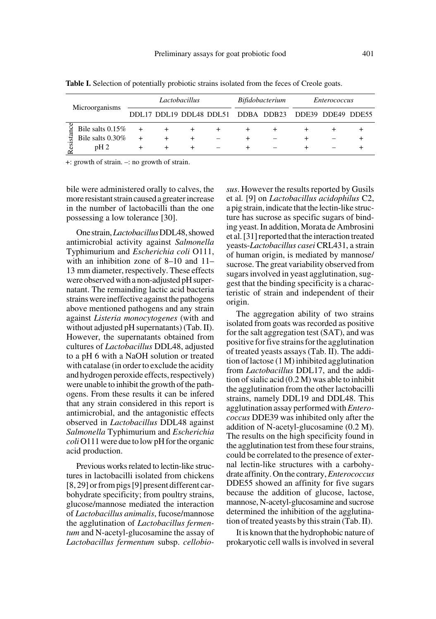|          | Microorganisms   | Lactobacillus |       |  |  | <i>Bifidobacterium</i> |                                    | <i>Enterococcus</i> |  |  |
|----------|------------------|---------------|-------|--|--|------------------------|------------------------------------|---------------------|--|--|
|          |                  |               |       |  |  |                        | DDL17 DDL19 DDL48 DDL51 DDBA DDB23 | DDE39 DDE49 DDE55   |  |  |
|          | Bile salts 0.15% |               |       |  |  |                        |                                    |                     |  |  |
| esistanc | Bile salts 0.30% | $^{+}$        | $\pm$ |  |  |                        |                                    |                     |  |  |
|          | $pH_2$           |               |       |  |  |                        |                                    |                     |  |  |

Table I. Selection of potentially probiotic strains isolated from the feces of Creole goats.

+: growth of strain. –: no growth of strain.

bile were administered orally to calves, the more resistant strain caused a greater increase in the number of lactobacilli than the one possessing a low tolerance [30].

One strain, *Lactobacillus* DDL48, showed antimicrobial activity against *Salmonella* Typhimurium and *Escherichia coli* O111, with an inhibition zone of 8–10 and 11– 13 mm diameter, respectively. These effects were observed with a non-adjusted pH supernatant. The remainding lactic acid bacteria strains were ineffective against the pathogens above mentioned pathogens and any strain against *Listeria monocytogenes* (with and without adjusted pH supernatants) (Tab. II). However, the supernatants obtained from cultures of *Lactobacillus* DDL48, adjusted to a pH 6 with a NaOH solution or treated with catalase (in order to exclude the acidity and hydrogen peroxide effects, respectively) were unable to inhibit the growth of the pathogens. From these results it can be infered that any strain considered in this report is antimicrobial, and the antagonistic effects observed in *Lactobacillus* DDL48 against *Salmonella* Typhimurium and *Escherichia coli* O111 were due to low pH for the organic acid production.

Previous works related to lectin-like structures in lactobacilli isolated from chickens [8, 29] or from pigs [9] present different carbohydrate specificity; from poultry strains, glucose/mannose mediated the interaction of *Lactobacillus animalis*, fucose/mannose the agglutination of *Lactobacillus fermentum* and N-acetyl-glucosamine the assay of *Lactobacillus fermentum* subsp. *cellobio-* *sus*. However the results reported by Gusils et al*.* [9] on *Lactobacillus acidophilus* C2, a pig strain, indicate that the lectin-like structure has sucrose as specific sugars of binding yeast. In addition, Morata de Ambrosini et al. [31] reported that the interaction treated yeasts-*Lactobacillus casei* CRL431, a strain of human origin, is mediated by mannose/ sucrose. The great variability observed from sugars involved in yeast agglutination, suggest that the binding specificity is a characteristic of strain and independent of their origin.

The aggregation ability of two strains isolated from goats was recorded as positive for the salt aggregation test (SAT), and was positive for five strains for the agglutination of treated yeasts assays (Tab. II). The addition of lactose (1 M) inhibited agglutination from *Lactobacillus* DDL17, and the addition of sialic acid (0.2 M) was able to inhibit the agglutination from the other lactobacilli strains, namely DDL19 and DDL48. This agglutination assay performed with *Enterococcus* DDE39 was inhibited only after the addition of N-acetyl-glucosamine (0.2 M). The results on the high specificity found in the agglutination test from these four strains, could be correlated to the presence of external lectin-like structures with a carbohydrate affinity. On the contrary, *Enterococcus* DDE55 showed an affinity for five sugars because the addition of glucose, lactose, mannose, N-acetyl-glucosamine and sucrose determined the inhibition of the agglutination of treated yeasts by this strain (Tab. II).

It is known that the hydrophobic nature of prokaryotic cell walls is involved in several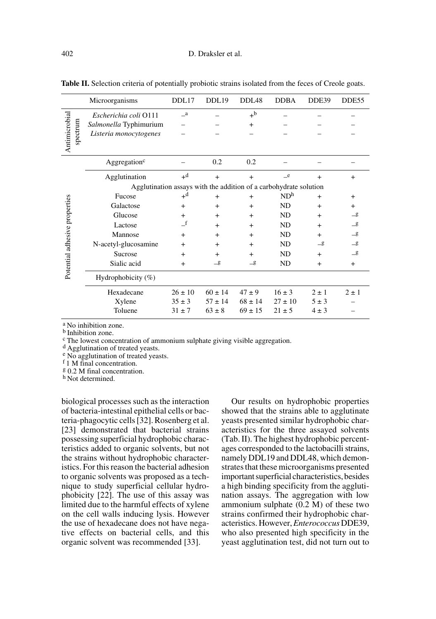|                               | Microorganisms                                                    | DDL17       | DDL19       | DDL <sub>48</sub> | <b>DDBA</b>     | DDE39         | DDE55         |  |  |  |  |
|-------------------------------|-------------------------------------------------------------------|-------------|-------------|-------------------|-----------------|---------------|---------------|--|--|--|--|
|                               | Escherichia coli O111                                             | $\equiv$ a  |             | $+^{\rm b}$       |                 |               |               |  |  |  |  |
|                               | Salmonella Typhimurium                                            |             |             | $^{+}$            |                 |               |               |  |  |  |  |
| spectrum                      | Listeria monocytogenes                                            |             |             |                   |                 |               |               |  |  |  |  |
| Antimicrobial                 |                                                                   |             |             |                   |                 |               |               |  |  |  |  |
|                               | Aggregation <sup>c</sup>                                          |             | 0.2         | 0.2               |                 |               |               |  |  |  |  |
|                               | Agglutination                                                     | $+d$        | $+$         | $+$               | e               | $^{+}$        | $^{+}$        |  |  |  |  |
|                               | Agglutination assays with the addition of a carbohydrate solution |             |             |                   |                 |               |               |  |  |  |  |
|                               | Fucose                                                            | $+d$        | $+$         | $+$               | ND <sup>h</sup> | $+$           | $+$           |  |  |  |  |
|                               | Galactose                                                         | $+$         | $+$         | $+$               | <b>ND</b>       | $+$           | $+$           |  |  |  |  |
|                               | Glucose                                                           | $^{+}$      | $^{+}$      | $+$               | <b>ND</b>       | $\ddot{}$     | $\mathcal{S}$ |  |  |  |  |
|                               | Lactose                                                           | $\_f$       | $+$         | $+$               | ND              | $+$           | $\mathcal{S}$ |  |  |  |  |
|                               | Mannose                                                           | $+$         | $+$         | $+$               | ND              | $+$           | $\mathcal{S}$ |  |  |  |  |
|                               | N-acetyl-glucosamine                                              | $^{+}$      | $\ddot{}$   | $+$               | ND              | $\mathcal{g}$ | $\mathbf{g}$  |  |  |  |  |
|                               | Sucrose                                                           | $^{+}$      | $+$         | $+$               | ND              | $+$           | $\mathcal{S}$ |  |  |  |  |
| Potential adhesive properties | Sialic acid                                                       | $^{+}$      | _g          | $\mathcal{S}$     | ND              | $+$           | $+$           |  |  |  |  |
|                               | Hydrophobicity (%)                                                |             |             |                   |                 |               |               |  |  |  |  |
|                               | Hexadecane                                                        | $26 \pm 10$ | $60 \pm 14$ | $47 \pm 9$        | $16 \pm 3$      | $2 \pm 1$     | $2 \pm 1$     |  |  |  |  |
|                               | Xylene                                                            | $35 \pm 3$  | $57 \pm 14$ | $68 \pm 14$       | $27 \pm 10$     | $5 \pm 3$     |               |  |  |  |  |
|                               | Toluene                                                           | $31 \pm 7$  | $63 \pm 8$  | $69 \pm 15$       | $21 \pm 5$      | $4 \pm 3$     |               |  |  |  |  |

**Table II.** Selection criteria of potentially probiotic strains isolated from the feces of Creole goats.

a No inhibition zone.

**b** Inhibition zone.

 $\rm ^c$  The lowest concentration of ammonium sulphate giving visible aggregation.  $\rm ^d$  Agglutination of treated yeasts.

e No agglutination of treated yeasts.

f 1 M final concentration.

g 0.2 M final concentration.

h Not determined.

biological processes such as the interaction of bacteria-intestinal epithelial cells or bacteria-phagocytic cells [32]. Rosenberg et al. [23] demonstrated that bacterial strains possessing superficial hydrophobic characteristics added to organic solvents, but not the strains without hydrophobic characteristics. For this reason the bacterial adhesion to organic solvents was proposed as a technique to study superficial cellular hydrophobicity [22]. The use of this assay was limited due to the harmful effects of xylene on the cell walls inducing lysis. However the use of hexadecane does not have negative effects on bacterial cells, and this organic solvent was recommended [33].

Our results on hydrophobic properties showed that the strains able to agglutinate yeasts presented similar hydrophobic characteristics for the three assayed solvents (Tab. II). The highest hydrophobic percentages corresponded to the lactobacilli strains, namely DDL19 and DDL48, which demonstrates that these microorganisms presented important superficial characteristics, besides a high binding specificity from the agglutination assays. The aggregation with low ammonium sulphate (0.2 M) of these two strains confirmed their hydrophobic characteristics. However, *Enterococcus* DDE39, who also presented high specificity in the yeast agglutination test, did not turn out to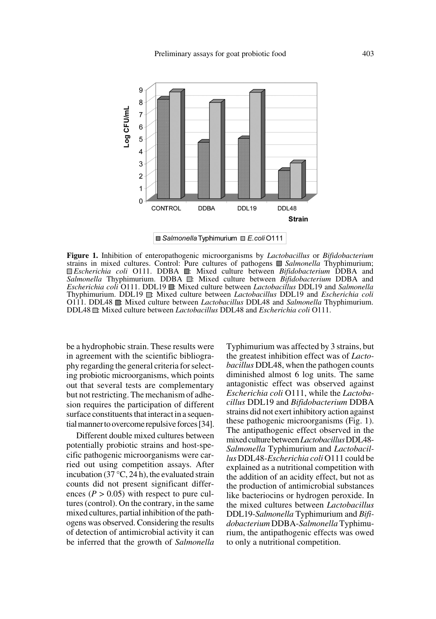

**Ø Salmonella Typhimurium** ■ E.coli 0111

**Figure 1.** Inhibition of enteropathogenic microorganisms by *Lactobacillus* or *Bifidobacterium* strains in mixed cultures. Control: Pure cultures of pathogens *Salmonella* Thyphimurium; **Escherichia coli O111. DDBA : Mixed culture between** *Bifidobacterium* DDBA and *Salmonella* Thyphimurium. DDBA  $\Box$ : Mixed culture between *Bifidobacterium* DDBA and *Escherichia coli* O111. DDL19 : Mixed culture between *Lactobacillus* DDL19 and *Salmonella* Thyphimurium. DDL19 : Mixed culture between *Lactobacillus* DDL19 and *Escherichia coli* O111. DDL48 : Mixed culture between *Lactobacillus* DDL48 and *Salmonella* Thyphimurium. DDL48 : Mixed culture between *Lactobacillus* DDL48 and *Escherichia coli* O111.

be a hydrophobic strain. These results were in agreement with the scientific bibliography regarding the general criteria for selecting probiotic microorganisms, which points out that several tests are complementary but not restricting. The mechanism of adhesion requires the participation of different surface constituents that interact in a sequential manner to overcome repulsive forces [34].

Different double mixed cultures between potentially probiotic strains and host-specific pathogenic microorganisms were carried out using competition assays. After incubation (37 $\degree$ C, 24 h), the evaluated strain counts did not present significant differences  $(P > 0.05)$  with respect to pure cultures (control). On the contrary, in the same mixed cultures, partial inhibition of the pathogens was observed. Considering the results of detection of antimicrobial activity it can be inferred that the growth of *Salmonella* Typhimurium was affected by 3 strains, but the greatest inhibition effect was of *Lactobacillus* DDL48, when the pathogen counts diminished almost 6 log units. The same antagonistic effect was observed against *Escherichia coli* O111, while the *Lactobacillus* DDL19 and *Bifidobacterium* DDBA strains did not exert inhibitory action against these pathogenic microorganisms (Fig. 1). The antipathogenic effect observed in the mixed culture between *Lactobacillus* DDL48- *Salmonella* Typhimurium and *Lactobacillus* DDL48-*Escherichia coli* O111 could be explained as a nutritional competition with the addition of an acidity effect, but not as the production of antimicrobial substances like bacteriocins or hydrogen peroxide. In the mixed cultures between *Lactobacillus* DDL19-*Salmonella* Typhimurium and *Bifidobacterium* DDBA-*Salmonella* Typhimurium, the antipathogenic effects was owed to only a nutritional competition.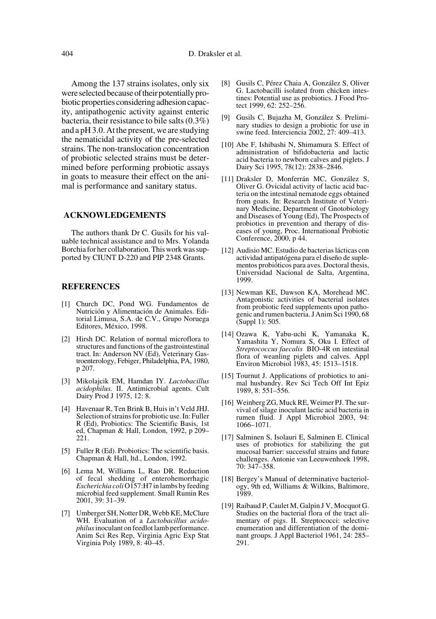Among the 137 strains isolates, only six were selected because of their potentially probiotic properties considering adhesion capacity, antipathogenic activity against enteric bacteria, their resistance to bile salts (0.3%) and a pH 3.0. At the present, we are studying the nematicidal activity of the pre-selected strains. The non-translocation concentration of probiotic selected strains must be determined before performing probiotic assays in goats to measure their effect on the animal is performance and sanitary status.

#### **ACKNOWLEDGEMENTS**

The authors thank Dr C. Gusils for his valuable technical assistance and to Mrs. Yolanda Borchia for her collaboration. This work was supported by CIUNT D-220 and PIP 2348 Grants.

#### **REFERENCES**

- [1] Church DC, Pond WG. Fundamentos de Nutrición y Alimentación de Animales. Editorial Limusa, S.A. de C.V., Grupo Noruega Editores, México, 1998.
- [2] Hirsh DC. Relation of normal microflora to structures and functions of the gastrointestinal tract. In: Anderson NV (Ed), Veterinary Gastroenterology, Febiger, Philadelphia, PA, 1980, p 207.
- [3] Mikolajcik EM, Hamdan IY. *Lactobacillus acidophilus.* II. Antimicrobial agents. Cult Dairy Prod J 1975, 12: 8.
- [4] Havenaar R, Ten Brink B, Huis in't Veld JHJ. Selection of strains for probiotic use. In: Fuller R (Ed), Probiotics: The Scientific Basis, 1st ed, Chapman & Hall, London, 1992, p 209– 221.
- [5] Fuller R (Ed). Probiotics: The scientific basis. Chapman & Hall, ltd., London, 1992.
- [6] Lema M, Williams L, Rao DR. Reduction of fecal shedding of enterohemorrhagic *Escherichia coli* O157:H7 in lambs by feeding microbial feed supplement. Small Rumin Res 2001, 39: 31–39.
- [7] Umberger SH, Notter DR, Webb KE, McClure WH. Evaluation of a *Lactobacillus acidophilus* inoculant on feedlot lamb performance. Anim Sci Res Rep, Virginia Agric Exp Stat Virginia Poly 1989, 8: 40–45.
- [8] Gusils C, Pérez Chaia A, González S, Oliver G. Lactobacilli isolated from chicken intestines: Potential use as probiotics. J Food Protect 1999, 62: 252–256.
- [9] Gusils C, Bujazha M, González S. Preliminary studies to design a probiotic for use in swine feed. Interciencia 2002, 27: 409–413.
- [10] Abe F, Ishibashi N, Shimamura S. Effect of administration of bifidobacteria and lactic acid bacteria to newborn calves and piglets. J Dairy Sci 1995, 78(12): 2838–2846.
- [11] Draksler D, Monferrán MC, González S, Oliver G. Ovicidal activity of lactic acid bacteria on the intestinal nematode eggs obtained from goats. In: Research Institute of Veterinary Medicine, Department of Gnotobiology and Diseases of Young (Ed), The Prospects of probiotics in prevention and therapy of diseases of young, Proc. International Probiotic Conference, 2000, p 44.
- [12] Audisio MC. Estudio de bacterias lácticas con actividad antipatógena para el diseño de suplementos probióticos para aves. Doctoral thesis, Universidad Nacional de Salta, Argentina, 1999.
- [13] Newman KE, Dawson KA, Morehead MC. Antagonistic activities of bacterial isolates from probiotic feed supplements upon pathogenic and rumen bacteria. J Anim Sci 1990, 68 (Suppl 1): 505.
- [14] Ozawa K, Yabu-uchi K, Yamanaka K, Yamashita Y, Nomura S, Oku I. Effect of *Streptococcus faecalis* BIO-4R on intestinal flora of weanling piglets and calves. Appl Environ Microbiol 1983, 45: 1513–1518.
- [15] Tournut J. Applications of probiotics to animal husbandry. Rev Sci Tech Off Int Epiz 1989, 8: 551–556.
- [16] Weinberg ZG, Muck RE, Weimer PJ. The survival of silage inoculant lactic acid bacteria in rumen fluid. J Appl Microbiol 2003, 94: 1066–1071.
- [17] Salminen S, Isolauri E, Salminen E. Clinical uses of probiotics for stabilizing the gut mucosal barrier: successful strains and future challenges. Antonie van Leeuwenhoek 1998, 70: 347–358.
- [18] Bergey's Manual of determinative bacteriology, 9th ed, Williams & Wilkins, Baltimore, 1989.
- [19] Raibaud P, Caulet M, Galpin J V, Mocquot G. Studies on the bacterial flora of the tract alimentary of pigs. II. Streptococci: selective enumeration and differentiation of the dominant groups. J Appl Bacteriol 1961, 24: 285– 291.